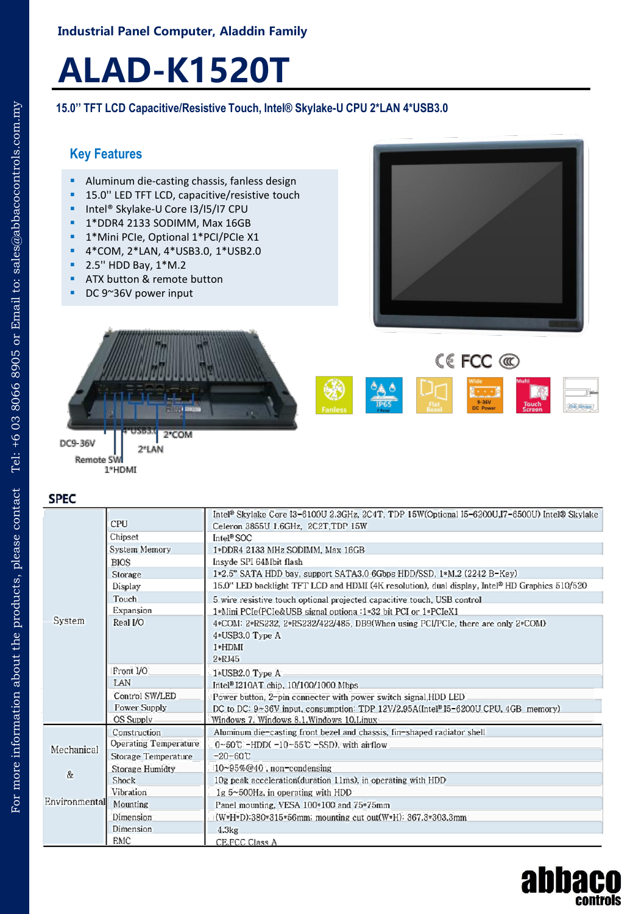## **Industrial Panel Computer, Aladdin Family**

# **ALAD-K1520T**

### **15.0'' TFT LCD Capacitive/Resistive Touch, Intel® Skylake-U CPU 2\*LAN 4\*USB3.0**

# **Key Features**

- **Aluminum die-casting chassis, fanless design**
- 15.0'' LED TFT LCD, capacitive/resistive touch
- Intel® Skylake-U Core I3/I5/I7 CPU
- 1\*DDR4 2133 SODIMM, Max 16GB
- 1\*Mini PCIe, Optional 1\*PCI/PCIe X1
- 4\*COM, 2\*LAN, 4\*USB3.0, 1\*USB2.0
- 2.5'' HDD Bay, 1\*M.2
- ATX button & remote button
- DC 9~36V power input





**CEFCC** ®  $\frac{4A}{P65}$ 

Remote SW

1\*HDMI

**SPEC** 

 $E$ 

|               |                       | Intel® Skylake Core I3-6100U 2.3GHz, 2C4T, TDP 15W(Optional I5-6200U,I7-6500U) Intel® Skylake  |
|---------------|-----------------------|------------------------------------------------------------------------------------------------|
| System        | <b>CPU</b>            | Celeron 3855U 1.6GHz, 2C2T, TDP 15W                                                            |
|               | Chipset               | Intel <sup>®</sup> SOC                                                                         |
|               | System Memory         | 1*DDR4 2133 MHz SODIMM, Max 16GB                                                               |
|               | <b>BIOS</b>           | Insyde SPI 64Mbit flash                                                                        |
|               | Storage               | 1*2.5" SATA HDD bay, support SATA3.0 6Gbps HDD/SSD, 1*M.2 (2242 B-Key)                         |
|               | Display               | 15.0" LED backlight TFT LCD and HDMI (4K resolution), dual display, Intel® HD Graphics 510/520 |
|               | Touch                 | 5 wire resistive touch optional projected capacitive touch, USB control                        |
|               | Expansion             | 1*Mini PCIe(PCIe&USB signal optiona :1*32 bit PCI or 1*PCIeX1                                  |
|               | Real I/O              | $4*COM: 2*RS232, 2*RS232/422/485, DB9$ (When using PCI/PCIe, there are only $2*COM$ )          |
|               |                       | 4*USB3.0 Type A                                                                                |
|               |                       | $1*HDMI$                                                                                       |
|               |                       | $2*RJ45$                                                                                       |
|               | Front I/O             | 1*USB2.0 Type A                                                                                |
|               | LAN                   | Intel <sup>®</sup> I210AT chip, 10/100/1000 Mbps                                               |
|               | Control SW/LED        | Power button, 2-pin connecter with power switch signal, HDD LED                                |
|               | Power Supply          | DC to DC: 9~36V input, consumption: TDP 12V/2.95A(Intel <sup>8</sup> I5-6200U CPU, 4GB memory) |
|               | <b>OS Supply</b>      | Windows 7. Windows 8.1.Windows 10.Linux                                                        |
|               | Construction          | Aluminum die-casting front bezel and chassis, fin-shaped radiator shell                        |
| Mechanical    | Operating Temperature | $0-50C$ -HDD( $-10-55C$ -SSD), with airflow                                                    |
|               | Storage Temperature   | $-20 - 60C$                                                                                    |
| $\&$          | Storage Humidty       | $10 \sim 95\% @ 40$ , non-condensing                                                           |
|               | Shock                 | 10g peak acceleration (duration 11ms), in operating with HDD                                   |
|               | Vibration             | $1g$ 5~500Hz, in operating with HDD                                                            |
| nvironmentall | Mounting              | Panel mounting, VESA 100*100 and 75*75mm                                                       |
|               | Dimension             | (W*H*D):380*315*56mm; mounting cut out(W*H): 367.3*303.3mm                                     |
|               | Dimension             | 4.3kg                                                                                          |
|               | EMC                   | CE.FCC Class A                                                                                 |